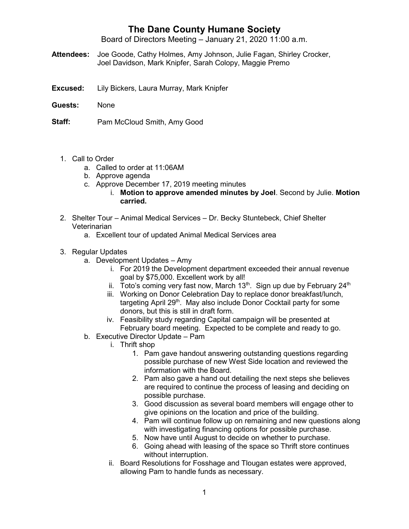## **The Dane County Humane Society**

Board of Directors Meeting – January 21, 2020 11:00 a.m.

- **Attendees:** Joe Goode, Cathy Holmes, Amy Johnson, Julie Fagan, Shirley Crocker, Joel Davidson, Mark Knipfer, Sarah Colopy, Maggie Premo
- **Excused:** Lily Bickers, Laura Murray, Mark Knipfer
- **Guests:** None

**Staff:** Pam McCloud Smith, Amy Good

- 1. Call to Order
	- a. Called to order at 11:06AM
	- b. Approve agenda
	- c. Approve December 17, 2019 meeting minutes
		- i. **Motion to approve amended minutes by Joel**. Second by Julie. **Motion carried.**
- 2. Shelter Tour Animal Medical Services Dr. Becky Stuntebeck, Chief Shelter Veterinarian
	- a. Excellent tour of updated Animal Medical Services area
- 3. Regular Updates
	- a. Development Updates Amy
		- i. For 2019 the Development department exceeded their annual revenue goal by \$75,000. Excellent work by all!
		- ii. Toto's coming very fast now, March  $13<sup>th</sup>$ . Sign up due by February 24<sup>th</sup>
		- iii. Working on Donor Celebration Day to replace donor breakfast/lunch, targeting April 29<sup>th</sup>. May also include Donor Cocktail party for some donors, but this is still in draft form.
		- iv. Feasibility study regarding Capital campaign will be presented at February board meeting. Expected to be complete and ready to go.
	- b. Executive Director Update Pam
		- i. Thrift shop
			- 1. Pam gave handout answering outstanding questions regarding possible purchase of new West Side location and reviewed the information with the Board.
			- 2. Pam also gave a hand out detailing the next steps she believes are required to continue the process of leasing and deciding on possible purchase.
			- 3. Good discussion as several board members will engage other to give opinions on the location and price of the building.
			- 4. Pam will continue follow up on remaining and new questions along with investigating financing options for possible purchase.
			- 5. Now have until August to decide on whether to purchase.
			- 6. Going ahead with leasing of the space so Thrift store continues without interruption.
		- ii. Board Resolutions for Fosshage and Tlougan estates were approved, allowing Pam to handle funds as necessary.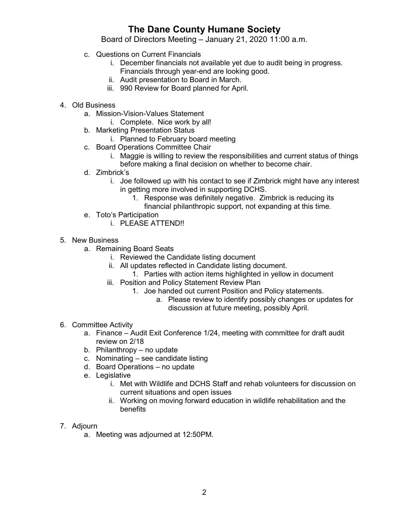## **The Dane County Humane Society**

Board of Directors Meeting – January 21, 2020 11:00 a.m.

- c. Questions on Current Financials
	- i. December financials not available yet due to audit being in progress. Financials through year-end are looking good.
	- ii. Audit presentation to Board in March.
	- iii. 990 Review for Board planned for April.
- 4. Old Business
	- a. Mission-Vision-Values Statement
		- i. Complete. Nice work by all!
	- b. Marketing Presentation Status
		- i. Planned to February board meeting
	- c. Board Operations Committee Chair
		- i. Maggie is willing to review the responsibilities and current status of things before making a final decision on whether to become chair.
	- d. Zimbrick's
		- i. Joe followed up with his contact to see if Zimbrick might have any interest in getting more involved in supporting DCHS.
			- 1. Response was definitely negative. Zimbrick is reducing its
				- financial philanthropic support, not expanding at this time.
	- e. Toto's Participation
		- i. PLEASE ATTEND!!
- 5. New Business
	- a. Remaining Board Seats
		- i. Reviewed the Candidate listing document
		- ii. All updates reflected in Candidate listing document.
			- 1. Parties with action items highlighted in yellow in document
		- iii. Position and Policy Statement Review Plan
			- 1. Joe handed out current Position and Policy statements.
				- a. Please review to identify possibly changes or updates for discussion at future meeting, possibly April.
- 6. Committee Activity
	- a. Finance Audit Exit Conference 1/24, meeting with committee for draft audit review on 2/18
	- b. Philanthropy no update
	- c. Nominating see candidate listing
	- d. Board Operations no update
	- e. Legislative
		- i. Met with Wildlife and DCHS Staff and rehab volunteers for discussion on current situations and open issues
		- ii. Working on moving forward education in wildlife rehabilitation and the benefits
- 7. Adjourn
	- a. Meeting was adjourned at 12:50PM.